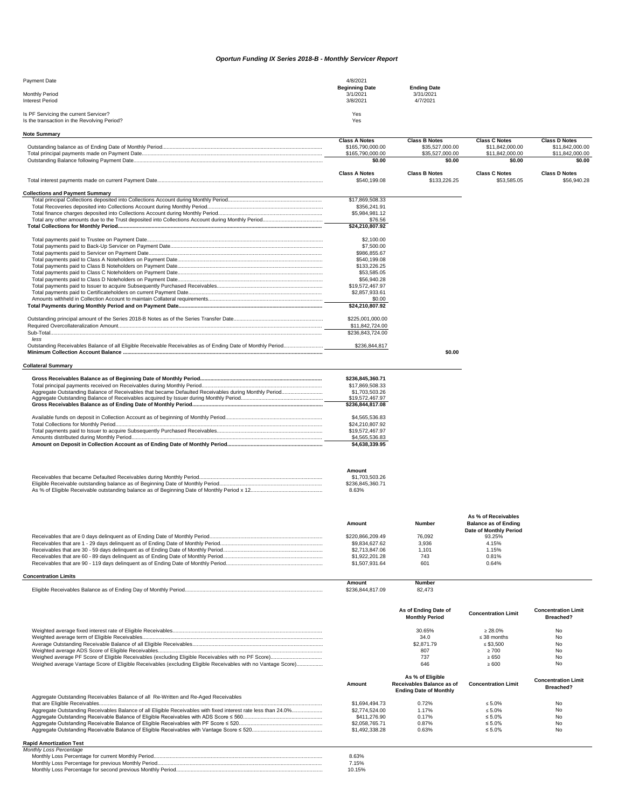| <b>Payment Date</b>                                                                  | 4/8/2021                                      |                                             |
|--------------------------------------------------------------------------------------|-----------------------------------------------|---------------------------------------------|
| <b>Monthly Period</b><br>Interest Period                                             | <b>Beginning Date</b><br>3/1/2021<br>3/8/2021 | <b>Ending Date</b><br>3/31/2021<br>4/7/2021 |
| Is PF Servicing the current Servicer?<br>Is the transaction in the Revolving Period? | Yes<br>Yes                                    |                                             |

**Note Summary**

|                                                                                                            | <b>Class A Notes</b><br>\$165,790,000.00 | <b>Class B Notes</b><br>\$35,527,000.00 | <b>Class C Notes</b><br>\$11,842,000.00 | <b>Class D Notes</b><br>\$11,842,000.00 |
|------------------------------------------------------------------------------------------------------------|------------------------------------------|-----------------------------------------|-----------------------------------------|-----------------------------------------|
|                                                                                                            | \$165,790,000.00                         | \$35,527,000.00                         | \$11,842,000.00                         | \$11,842,000.00                         |
|                                                                                                            | \$0.00                                   | \$0.00                                  | \$0.00                                  | \$0.00                                  |
|                                                                                                            | <b>Class A Notes</b>                     | <b>Class B Notes</b>                    | <b>Class C Notes</b>                    | <b>Class D Notes</b>                    |
|                                                                                                            | \$540,199.08                             | \$133,226.25                            | \$53,585.05                             | \$56,940.28                             |
| <b>Collections and Payment Summary</b>                                                                     |                                          |                                         |                                         |                                         |
|                                                                                                            | \$17,869,508.33                          |                                         |                                         |                                         |
|                                                                                                            | \$356,241.91                             |                                         |                                         |                                         |
|                                                                                                            | \$5,984,981.12                           |                                         |                                         |                                         |
|                                                                                                            | \$76.56                                  |                                         |                                         |                                         |
|                                                                                                            | \$24,210,807.92                          |                                         |                                         |                                         |
|                                                                                                            | \$2,100.00                               |                                         |                                         |                                         |
|                                                                                                            | \$7,500.00                               |                                         |                                         |                                         |
|                                                                                                            | \$986,855.67                             |                                         |                                         |                                         |
|                                                                                                            | \$540,199.08                             |                                         |                                         |                                         |
|                                                                                                            | \$133,226.25                             |                                         |                                         |                                         |
|                                                                                                            | \$53,585.05                              |                                         |                                         |                                         |
|                                                                                                            | \$56,940.28                              |                                         |                                         |                                         |
|                                                                                                            | \$19,572,467.97                          |                                         |                                         |                                         |
|                                                                                                            | \$2,857,933.61                           |                                         |                                         |                                         |
|                                                                                                            | \$0.00                                   |                                         |                                         |                                         |
|                                                                                                            | \$24,210,807.92                          |                                         |                                         |                                         |
|                                                                                                            | \$225,001,000.00                         |                                         |                                         |                                         |
|                                                                                                            | \$11,842,724.00                          |                                         |                                         |                                         |
| less                                                                                                       | \$236,843,724.00                         |                                         |                                         |                                         |
| Outstanding Receivables Balance of all Eligible Receivable Receivables as of Ending Date of Monthly Period | \$236,844,817                            |                                         |                                         |                                         |
|                                                                                                            |                                          | \$0.00                                  |                                         |                                         |
| <b>Collateral Summary</b>                                                                                  |                                          |                                         |                                         |                                         |
|                                                                                                            |                                          |                                         |                                         |                                         |

| \$236.845.360.71 |
|------------------|
| \$17.869.508.33  |
| \$1.703.503.26   |
| \$19,572,467.97  |
| \$236.844.817.08 |
|                  |
| \$4,565,536,83   |
|                  |
| \$24,210,807.92  |
| \$19.572.467.97  |
| \$4,565,536.83   |

| Amount           |
|------------------|
| \$1.703.503.26   |
| \$236.845.360.71 |
| 8.63%            |

| Amount           | <b>Number</b> | <b>Balance as of Ending</b>   |  |
|------------------|---------------|-------------------------------|--|
|                  |               | <b>Date of Monthly Period</b> |  |
| \$220.866.209.49 | 76.092        | 93.25%                        |  |
| \$9.834.627.62   | 3,936         | 4.15%                         |  |
| \$2,713,847,06   | 1.101         | .15%                          |  |
| \$1,922,201.28   | 743           | 0.81%                         |  |
| \$1,507,931.64   | 601           | 0.64%                         |  |

## **Concentration Limits**

|                                                                                  | <b>Amount</b> | Number          |
|----------------------------------------------------------------------------------|---------------|-----------------|
| سىسىسىسىسىسىسىسىسى e Receivables Balance as of Ending Day of Monthly Period<br>. | 817.09        | 82.47<br>$\sim$ |

|                                                                                                              | As of Ending Date of<br><b>Monthly Period</b> | <b>Concentration Limit</b> | <b>Concentration Limit</b><br><b>Breached?</b> |
|--------------------------------------------------------------------------------------------------------------|-----------------------------------------------|----------------------------|------------------------------------------------|
|                                                                                                              | 30.65%                                        | $\geq 28.0\%$              | No                                             |
|                                                                                                              | 34.0                                          | $\leq$ 38 months           | No                                             |
|                                                                                                              | \$2,871.79                                    | $\leq$ \$3.500             | No                                             |
|                                                                                                              | 807                                           | $\geq 700$                 | No                                             |
|                                                                                                              | 737                                           | $\ge 650$                  | No                                             |
| Weighed average Vantage Score of Eligible Receivables (excluding Eligible Receivables with no Vantage Score) | 646                                           | $\geq 600$                 | No.                                            |

|                                                                                                                | Amount         | As % of Eligible<br>Receivables Balance as of<br><b>Ending Date of Monthly</b> | <b>Concentration Limit</b> | <b>Concentration Limit</b><br><b>Breached?</b> |
|----------------------------------------------------------------------------------------------------------------|----------------|--------------------------------------------------------------------------------|----------------------------|------------------------------------------------|
| Aggregate Outstanding Receivables Balance of all Re-Written and Re-Aged Receivables                            |                |                                                                                |                            |                                                |
|                                                                                                                | \$1.694.494.73 | 0.72%                                                                          | $\leq 5.0\%$               | No                                             |
| Aggregate Outstanding Receivables Balance of all Eligible Receivables with fixed interest rate less than 24.0% | \$2,774,524,00 | 1.17%                                                                          | $\leq 5.0\%$               | No                                             |
|                                                                                                                | \$411,276.90   | $0.17\%$                                                                       | $\leq 5.0\%$               | No                                             |
|                                                                                                                | \$2.058.765.71 | 0.87%                                                                          | $\leq 5.0\%$               | No                                             |
|                                                                                                                | \$1,492,338,28 | 0.63%                                                                          | $\leq 5.0\%$               | No                                             |
|                                                                                                                |                |                                                                                |                            |                                                |

## **Rapid Amortization Test**

| 8.63%  |
|--------|
| 7.15%  |
| 10.15% |

## *Oportun Funding IX Series 2018-B - Monthly Servicer Report*